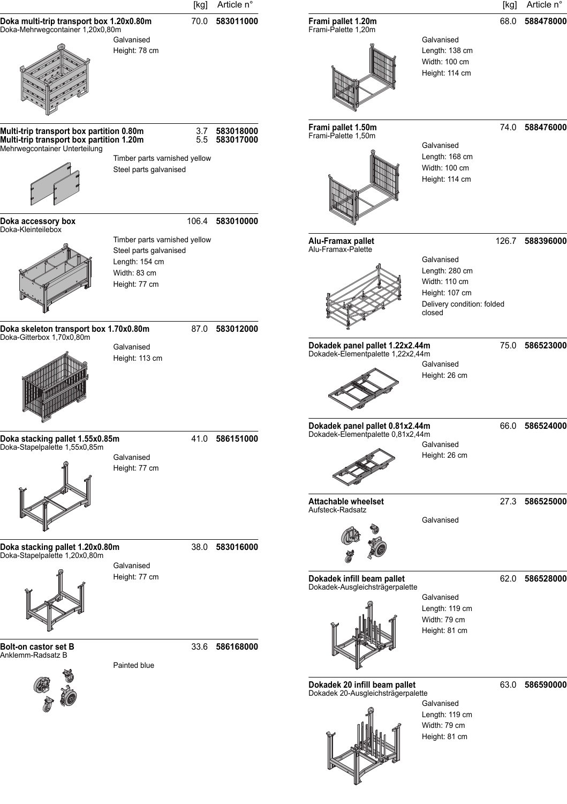|                                                                                                                       |                                                                                                            | [kg]      | Article n°             |                                                                      |                                                                                                         | [kg]  | Article n°     |
|-----------------------------------------------------------------------------------------------------------------------|------------------------------------------------------------------------------------------------------------|-----------|------------------------|----------------------------------------------------------------------|---------------------------------------------------------------------------------------------------------|-------|----------------|
| Doka multi-trip transport box 1.20x0.80m<br>Doka-Mehrwegcontainer 1,20x0,80m                                          | Galvanised<br>Height: 78 cm                                                                                | 70.0      | 583011000              | Frami pallet 1.20m<br>Frami-Palette 1,20m                            | Galvanised<br>Length: 138 cm                                                                            | 68.0  | 588478000      |
|                                                                                                                       |                                                                                                            |           |                        |                                                                      | Width: 100 cm<br>Height: 114 cm                                                                         |       |                |
| Multi-trip transport box partition 0.80m<br>Multi-trip transport box partition 1.20m<br>Mehrwegcontainer Unterteilung |                                                                                                            | 3.7<br>55 | 583018000<br>583017000 | Frami pallet 1.50m<br>Frami-Palette 1,50m                            | Galvanised                                                                                              |       | 74.0 588476000 |
|                                                                                                                       | Timber parts varnished yellow<br>Steel parts galvanised                                                    |           |                        |                                                                      | Length: 168 cm<br>Width: 100 cm<br>Height: 114 cm                                                       |       |                |
| Doka accessory box<br>Doka-Kleinteilebox                                                                              |                                                                                                            | 106.4     | 583010000              |                                                                      |                                                                                                         |       |                |
|                                                                                                                       | Timber parts varnished yellow<br>Steel parts galvanised<br>Length: 154 cm<br>Width: 83 cm<br>Height: 77 cm |           |                        | Alu-Framax pallet<br>Alu-Framax-Palette                              | Galvanised<br>Length: 280 cm<br>Width: 110 cm<br>Height: 107 cm<br>Delivery condition: folded<br>closed | 126.7 | 588396000      |
| Doka skeleton transport box 1.70x0.80m<br>Doka-Gitterbox 1,70x0,80m                                                   |                                                                                                            |           | 87.0 583012000         |                                                                      |                                                                                                         |       |                |
|                                                                                                                       | Galvanised<br>Height: 113 cm                                                                               |           |                        | Dokadek panel pallet 1.22x2.44m<br>Dokadek-Elementpalette 1,22x2,44m | Galvanised<br>Height: 26 cm                                                                             |       | 75.0 586523000 |
| Doka stacking pallet 1.55x0.85m                                                                                       |                                                                                                            |           | 41.0 586151000         | Dokadek panel pallet 0.81x2.44m<br>Dokadek-Elementpalette 0,81x2,44m |                                                                                                         | 66.0  | 586524000      |
| Doka-Stapelpalette 1,55x0,85m                                                                                         | Galvanised<br>Height: 77 cm                                                                                |           |                        |                                                                      | Galvanised<br>Height: 26 cm                                                                             |       |                |
|                                                                                                                       |                                                                                                            |           |                        | <b>Attachable wheelset</b><br>Aufsteck-Radsatz                       | Galvanised                                                                                              |       | 27.3 586525000 |
| Doka stacking pallet 1.20x0.80m<br>Doka-Stapelpalette 1,20x0,80m                                                      | Galvanised                                                                                                 | 38.0      | 583016000              |                                                                      |                                                                                                         |       |                |
|                                                                                                                       | Height: 77 cm                                                                                              |           |                        | Dokadek infill beam pallet<br>Dokadek-Ausgleichsträgerpalette        | Galvanised<br>Length: 119 cm<br>Width: 79 cm<br>Height: 81 cm                                           |       | 62.0 586528000 |
| Bolt-on castor set B<br>Anklemm-Radsatz B                                                                             | Painted blue                                                                                               |           | 33.6 586168000         |                                                                      |                                                                                                         |       |                |
|                                                                                                                       |                                                                                                            |           |                        | Dokadek 20 infill beam pallet<br>Dokadek 20-Ausgleichsträgerpalette  | Galvanised<br>Length: 119 cm                                                                            |       | 63.0 586590000 |
|                                                                                                                       |                                                                                                            |           |                        |                                                                      | Width: 79 cm<br>Height: 81 cm                                                                           |       |                |